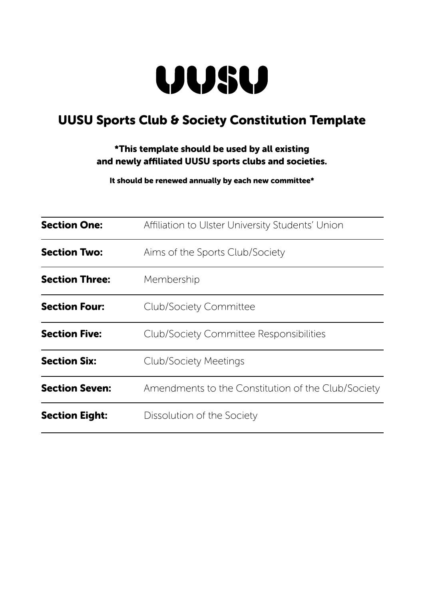

# UUSU Sports Club & Society Constitution Template

## \*This template should be used by all existing and newly affiliated UUSU sports clubs and societies.

It should be renewed annually by each new committee\*

| <b>Section One:</b>   | Affiliation to Ulster University Students' Union   |  |  |  |  |  |  |
|-----------------------|----------------------------------------------------|--|--|--|--|--|--|
| <b>Section Two:</b>   | Aims of the Sports Club/Society                    |  |  |  |  |  |  |
| <b>Section Three:</b> | Membership                                         |  |  |  |  |  |  |
| <b>Section Four:</b>  | <b>Club/Society Committee</b>                      |  |  |  |  |  |  |
| <b>Section Five:</b>  | <b>Club/Society Committee Responsibilities</b>     |  |  |  |  |  |  |
| <b>Section Six:</b>   | <b>Club/Society Meetings</b>                       |  |  |  |  |  |  |
| <b>Section Seven:</b> | Amendments to the Constitution of the Club/Society |  |  |  |  |  |  |
| <b>Section Eight:</b> | Dissolution of the Society                         |  |  |  |  |  |  |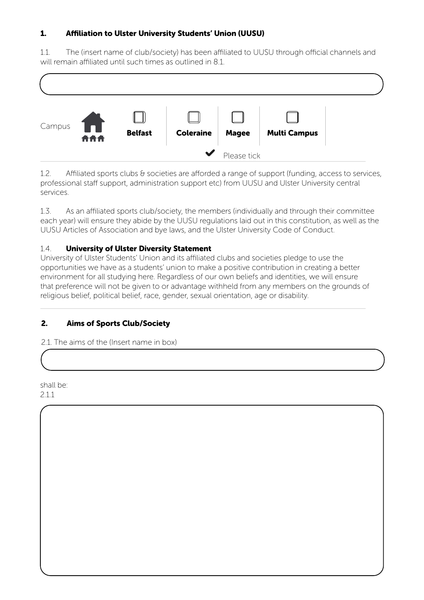## 1. Affiliation to Ulster University Students' Union (UUSU)

1.1. The (insert name of club/society) has been affiliated to UUSU through official channels and will remain affiliated until such times as outlined in 8.1.



1.2. Affiliated sports clubs & societies are afforded a range of support (funding, access to services, professional staff support, administration support etc) from UUSU and Ulster University central services.

1.3. As an affiliated sports club/society, the members (individually and through their committee each year) will ensure they abide by the UUSU regulations laid out in this constitution, as well as the UUSU Articles of Association and bye laws, and the Ulster University Code of Conduct.

#### 1.4. University of Ulster Diversity Statement

University of Ulster Students' Union and its affiliated clubs and societies pledge to use the opportunities we have as a students' union to make a positive contribution in creating a better environment for all studying here. Regardless of our own beliefs and identities, we will ensure that preference will not be given to or advantage withheld from any members on the grounds of religious belief, political belief, race, gender, sexual orientation, age or disability.

#### 2. Aims of Sports Club/Society

2.1. The aims of the (Insert name in box)

shall be: 2.1.1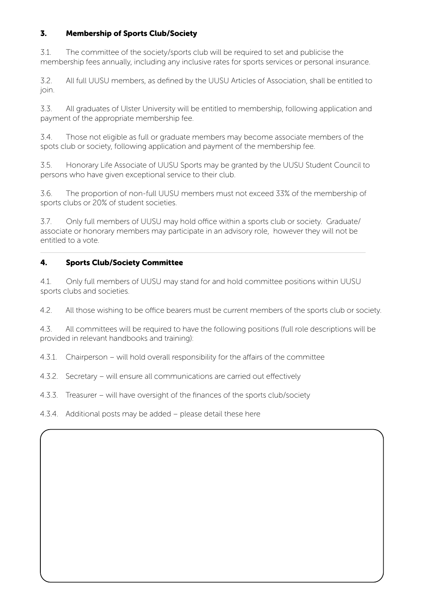## 3. Membership of Sports Club/Society

3.1. The committee of the society/sports club will be required to set and publicise the membership fees annually, including any inclusive rates for sports services or personal insurance.

3.2. All full UUSU members, as defined by the UUSU Articles of Association, shall be entitled to join.

3.3. All graduates of Ulster University will be entitled to membership, following application and payment of the appropriate membership fee.

3.4. Those not eligible as full or graduate members may become associate members of the spots club or society, following application and payment of the membership fee.

3.5. Honorary Life Associate of UUSU Sports may be granted by the UUSU Student Council to persons who have given exceptional service to their club.

3.6. The proportion of non-full UUSU members must not exceed 33% of the membership of sports clubs or 20% of student societies.

3.7. Only full members of UUSU may hold office within a sports club or society. Graduate/ associate or honorary members may participate in an advisory role, however they will not be entitled to a vote.

## 4. Sports Club/Society Committee

4.1. Only full members of UUSU may stand for and hold committee positions within UUSU sports clubs and societies.

4.2. All those wishing to be office bearers must be current members of the sports club or society.

4.3. All committees will be required to have the following positions (full role descriptions will be provided in relevant handbooks and training):

4.3.1. Chairperson – will hold overall responsibility for the affairs of the committee

4.3.2. Secretary – will ensure all communications are carried out effectively

4.3.3. Treasurer – will have oversight of the finances of the sports club/society

4.3.4. Additional posts may be added – please detail these here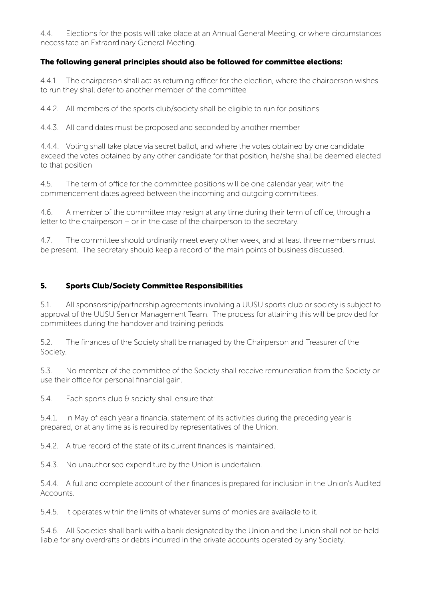4.4. Elections for the posts will take place at an Annual General Meeting, or where circumstances necessitate an Extraordinary General Meeting.

#### The following general principles should also be followed for committee elections:

4.4.1. The chairperson shall act as returning officer for the election, where the chairperson wishes to run they shall defer to another member of the committee

4.4.2. All members of the sports club/society shall be eligible to run for positions

4.4.3. All candidates must be proposed and seconded by another member

4.4.4. Voting shall take place via secret ballot, and where the votes obtained by one candidate exceed the votes obtained by any other candidate for that position, he/she shall be deemed elected to that position

4.5. The term of office for the committee positions will be one calendar year, with the commencement dates agreed between the incoming and outgoing committees.

4.6. A member of the committee may resign at any time during their term of office, through a letter to the chairperson – or in the case of the chairperson to the secretary.

4.7. The committee should ordinarily meet every other week, and at least three members must be present. The secretary should keep a record of the main points of business discussed.

#### 5. Sports Club/Society Committee Responsibilities

5.1. All sponsorship/partnership agreements involving a UUSU sports club or society is subject to approval of the UUSU Senior Management Team. The process for attaining this will be provided for committees during the handover and training periods.

5.2. The finances of the Society shall be managed by the Chairperson and Treasurer of the Society.

5.3. No member of the committee of the Society shall receive remuneration from the Society or use their office for personal financial gain.

5.4. Each sports club & society shall ensure that:

5.4.1. In May of each year a financial statement of its activities during the preceding year is prepared, or at any time as is required by representatives of the Union.

5.4.2. A true record of the state of its current finances is maintained.

5.4.3. No unauthorised expenditure by the Union is undertaken.

5.4.4. A full and complete account of their finances is prepared for inclusion in the Union's Audited Accounts.

5.4.5. It operates within the limits of whatever sums of monies are available to it.

5.4.6. All Societies shall bank with a bank designated by the Union and the Union shall not be held liable for any overdrafts or debts incurred in the private accounts operated by any Society.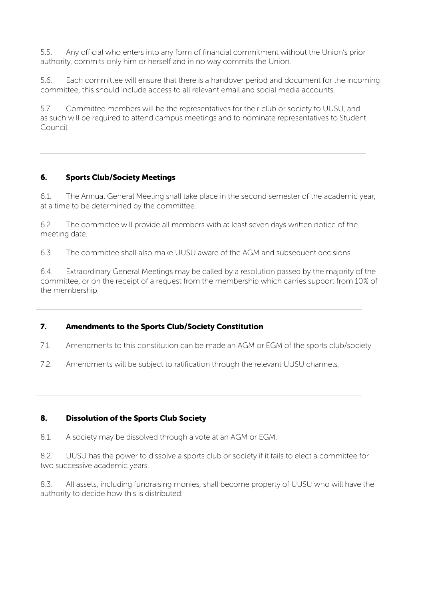5.5. Any official who enters into any form of financial commitment without the Union's prior authority, commits only him or herself and in no way commits the Union.

5.6. Each committee will ensure that there is a handover period and document for the incoming committee, this should include access to all relevant email and social media accounts.

5.7. Committee members will be the representatives for their club or society to UUSU, and as such will be required to attend campus meetings and to nominate representatives to Student Council.

#### 6. Sports Club/Society Meetings

6.1. The Annual General Meeting shall take place in the second semester of the academic year, at a time to be determined by the committee.

6.2. The committee will provide all members with at least seven days written notice of the meeting date.

6.3. The committee shall also make UUSU aware of the AGM and subsequent decisions.

6.4. Extraordinary General Meetings may be called by a resolution passed by the majority of the committee, or on the receipt of a request from the membership which carries support from 10% of the membership.

#### 7. Amendments to the Sports Club/Society Constitution

- 7.1. Amendments to this constitution can be made an AGM or EGM of the sports club/society.
- 7.2. Amendments will be subject to ratification through the relevant UUSU channels.

#### 8. Dissolution of the Sports Club Society

8.1. A society may be dissolved through a vote at an AGM or EGM.

8.2. UUSU has the power to dissolve a sports club or society if it fails to elect a committee for two successive academic years.

8.3. All assets, including fundraising monies, shall become property of UUSU who will have the authority to decide how this is distributed.